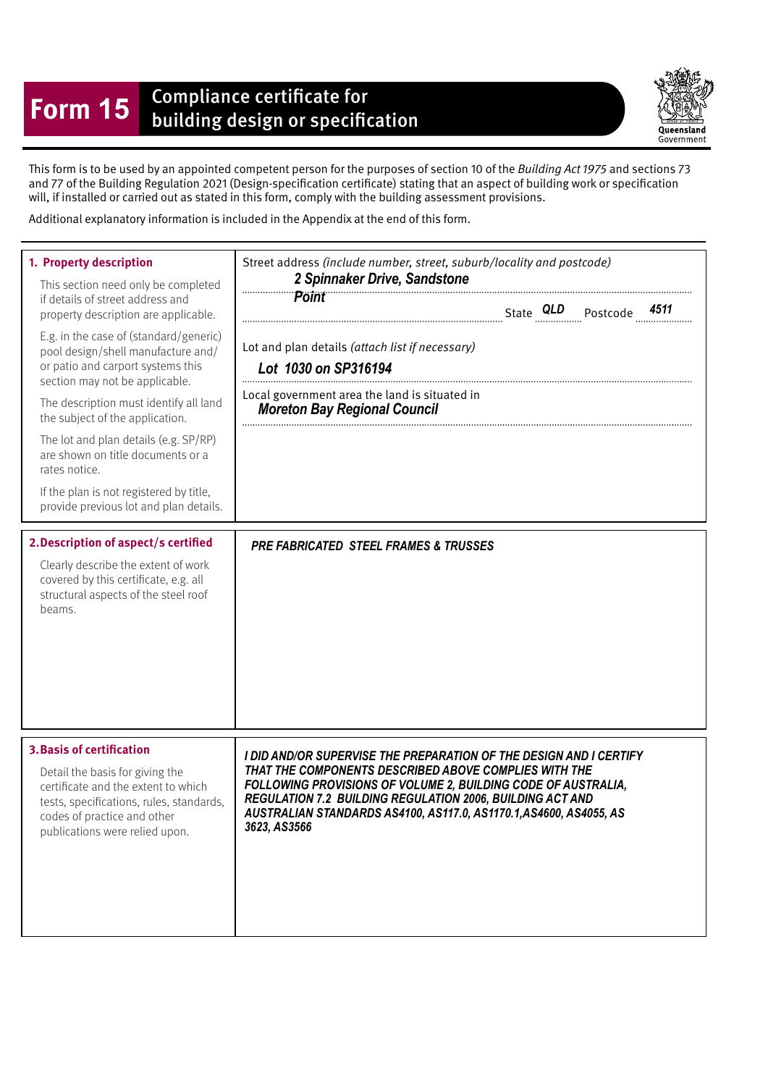## **Form 15** Compliance certificate for<br>building design or specification

Queensland Government

This form is to be used by an appointed competent person for the purposes of section 10 of the Building Act 1975 and sections 73 and 77 of the Building Regulation 2021 (Design-specifcation certifcate) stating that an aspect of building work or specifcation will, if installed or carried out as stated in this form, comply with the building assessment provisions.

Additional explanatory information is included in the Appendix at the end of this form.

| 1. Property description<br>This section need only be completed<br>if details of street address and<br>property description are applicable.<br>E.g. in the case of (standard/generic)<br>pool design/shell manufacture and/<br>or patio and carport systems this<br>section may not be applicable.<br>The description must identify all land<br>the subject of the application.<br>The lot and plan details (e.g. SP/RP)<br>are shown on title documents or a<br>rates notice.<br>If the plan is not registered by title,<br>provide previous lot and plan details.<br>2. Description of aspect/s certified<br>Clearly describe the extent of work | Street address (include number, street, suburb/locality and postcode)<br>2 Spinnaker Drive, Sandstone<br><b>Point</b><br>Lot and plan details (attach list if necessary)<br>Lot 1030 on SP316194<br>Local government area the land is situated in<br><b>Moreton Bay Regional Council</b><br><b>PRE FABRICATED STEEL FRAMES &amp; TRUSSES</b>           |
|---------------------------------------------------------------------------------------------------------------------------------------------------------------------------------------------------------------------------------------------------------------------------------------------------------------------------------------------------------------------------------------------------------------------------------------------------------------------------------------------------------------------------------------------------------------------------------------------------------------------------------------------------|--------------------------------------------------------------------------------------------------------------------------------------------------------------------------------------------------------------------------------------------------------------------------------------------------------------------------------------------------------|
| covered by this certificate, e.g. all<br>structural aspects of the steel roof<br>beams.                                                                                                                                                                                                                                                                                                                                                                                                                                                                                                                                                           |                                                                                                                                                                                                                                                                                                                                                        |
| <b>3. Basis of certification</b><br>Detail the basis for giving the<br>certificate and the extent to which<br>tests, specifications, rules, standards,<br>codes of practice and other<br>publications were relied upon.                                                                                                                                                                                                                                                                                                                                                                                                                           | I DID AND/OR SUPERVISE THE PREPARATION OF THE DESIGN AND I CERTIFY<br>THAT THE COMPONENTS DESCRIBED ABOVE COMPLIES WITH THE<br>FOLLOWING PROVISIONS OF VOLUME 2, BUILDING CODE OF AUSTRALIA,<br><b>REGULATION 7.2 BUILDING REGULATION 2006, BUILDING ACT AND</b><br>AUSTRALIAN STANDARDS AS4100, AS117.0, AS1170.1, AS4600, AS4055, AS<br>3623, AS3566 |